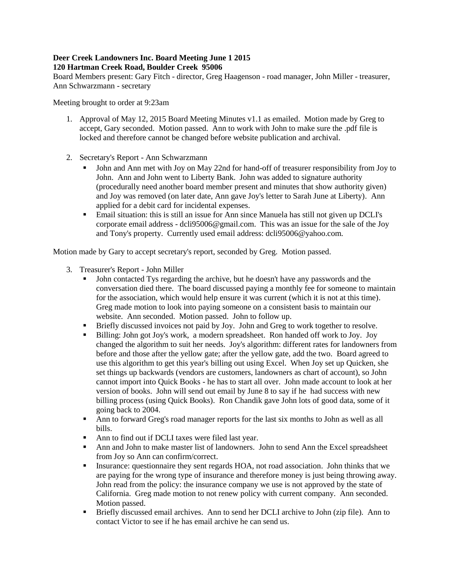## **Deer Creek Landowners Inc. Board Meeting June 1 2015 120 Hartman Creek Road, Boulder Creek 95006**

Board Members present: Gary Fitch - director, Greg Haagenson - road manager, John Miller - treasurer, Ann Schwarzmann - secretary

Meeting brought to order at 9:23am

- 1. Approval of May 12, 2015 Board Meeting Minutes v1.1 as emailed. Motion made by Greg to accept, Gary seconded. Motion passed. Ann to work with John to make sure the .pdf file is locked and therefore cannot be changed before website publication and archival.
- 2. Secretary's Report Ann Schwarzmann
	- John and Ann met with Joy on May 22nd for hand-off of treasurer responsibility from Joy to John. Ann and John went to Liberty Bank. John was added to signature authority (procedurally need another board member present and minutes that show authority given) and Joy was removed (on later date, Ann gave Joy's letter to Sarah June at Liberty). Ann applied for a debit card for incidental expenses.
	- Email situation: this is still an issue for Ann since Manuela has still not given up DCLI's corporate email address - dcli95006@gmail.com. This was an issue for the sale of the Joy and Tony's property. Currently used email address: dcli95006@yahoo.com.

Motion made by Gary to accept secretary's report, seconded by Greg. Motion passed.

- 3. Treasurer's Report John Miller
	- John contacted Tys regarding the archive, but he doesn't have any passwords and the conversation died there. The board discussed paying a monthly fee for someone to maintain for the association, which would help ensure it was current (which it is not at this time). Greg made motion to look into paying someone on a consistent basis to maintain our website. Ann seconded. Motion passed. John to follow up.
	- Briefly discussed invoices not paid by Joy. John and Greg to work together to resolve.
	- Billing: John got Joy's work, a modern spreadsheet. Ron handed off work to Joy. Joy changed the algorithm to suit her needs. Joy's algorithm: different rates for landowners from before and those after the yellow gate; after the yellow gate, add the two. Board agreed to use this algorithm to get this year's billing out using Excel. When Joy set up Quicken, she set things up backwards (vendors are customers, landowners as chart of account), so John cannot import into Quick Books - he has to start all over. John made account to look at her version of books. John will send out email by June 8 to say if he had success with new billing process (using Quick Books). Ron Chandik gave John lots of good data, some of it going back to 2004.
	- Ann to forward Greg's road manager reports for the last six months to John as well as all bills.
	- Ann to find out if DCLI taxes were filed last year.
	- Ann and John to make master list of landowners. John to send Ann the Excel spreadsheet from Joy so Ann can confirm/correct.
	- Insurance: questionnaire they sent regards HOA, not road association. John thinks that we are paying for the wrong type of insurance and therefore money is just being throwing away. John read from the policy: the insurance company we use is not approved by the state of California. Greg made motion to not renew policy with current company. Ann seconded. Motion passed.
	- Briefly discussed email archives. Ann to send her DCLI archive to John (zip file). Ann to contact Victor to see if he has email archive he can send us.